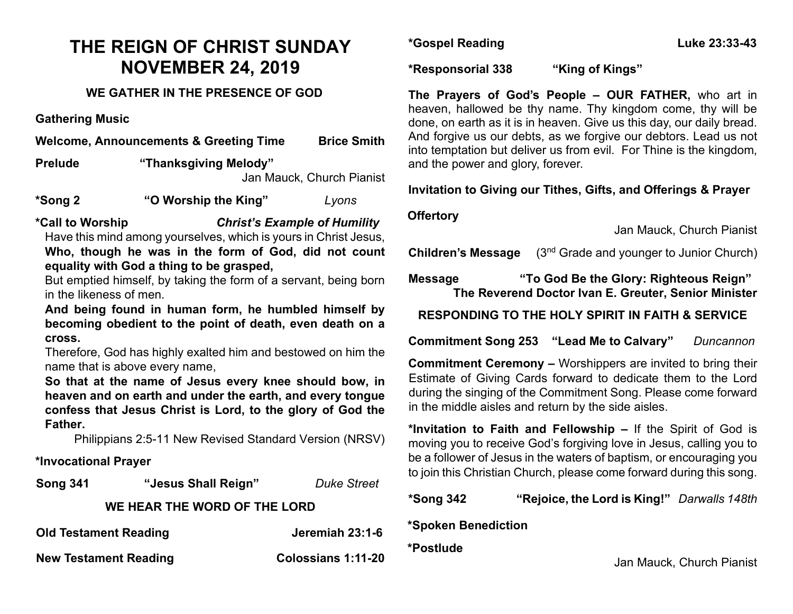# **THE REIGN OF CHRIST SUNDAY NOVEMBER 24, 2019**

### **WE GATHER IN THE PRESENCE OF GOD**

**Gathering Music**

**Welcome, Announcements & Greeting Time Brice Smith Prelude "Thanksgiving Melody"**  Jan Mauck, Church Pianist

**\*Song 2 "O Worship the King"** *Lyons*

**\*Call to Worship** *Christ's Example of Humility* Have this mind among yourselves, which is yours in Christ Jesus, **Who, though he was in the form of God, did not count equality with God a thing to be grasped,**

But emptied himself, by taking the form of a servant, being born in the likeness of men.

**And being found in human form, he humbled himself by becoming obedient to the point of death, even death on a cross.** 

Therefore, God has highly exalted him and bestowed on him the name that is above every name,

**So that at the name of Jesus every knee should bow, in heaven and on earth and under the earth, and every tongue confess that Jesus Christ is Lord, to the glory of God the Father.**

Philippians 2:5-11 New Revised Standard Version (NRSV)

#### **\*Invocational Prayer**

| <b>Song 341</b>              | "Jesus Shall Reign" | <b>Duke Street</b> |
|------------------------------|---------------------|--------------------|
| WE HEAR THE WORD OF THE LORD |                     |                    |
| <b>Old Testament Reading</b> |                     | Jeremiah 23:1-6    |

**New Testament Reading Colossians 1:11-20** 

**\*Gospel Reading Luke 23:33-43**

**\*Responsorial 338 "King of Kings"**

**The Prayers of God's People – OUR FATHER,** who art in heaven, hallowed be thy name. Thy kingdom come, thy will be done, on earth as it is in heaven. Give us this day, our daily bread. And forgive us our debts, as we forgive our debtors. Lead us not into temptation but deliver us from evil. For Thine is the kingdom, and the power and glory, forever.

### **Invitation to Giving our Tithes, Gifts, and Offerings & Prayer**

#### **Offertory**

Jan Mauck, Church Pianist

**Children's Message** (3<sup>nd</sup> Grade and younger to Junior Church)

**Message "To God Be the Glory: Righteous Reign" The Reverend Doctor Ivan E. Greuter, Senior Minister**

**RESPONDING TO THE HOLY SPIRIT IN FAITH & SERVICE**

**Commitment Song 253 "Lead Me to Calvary"** *Duncannon*

**Commitment Ceremony –** Worshippers are invited to bring their Estimate of Giving Cards forward to dedicate them to the Lord during the singing of the Commitment Song. Please come forward in the middle aisles and return by the side aisles.

**\*Invitation to Faith and Fellowship –** If the Spirit of God is moving you to receive God's forgiving love in Jesus, calling you to be a follower of Jesus in the waters of baptism, or encouraging you to join this Christian Church, please come forward during this song.

**\*Song 342 "Rejoice, the Lord is King!"** *Darwalls 148th*

**\*Spoken Benediction** 

**\*Postlude** 

Jan Mauck, Church Pianist